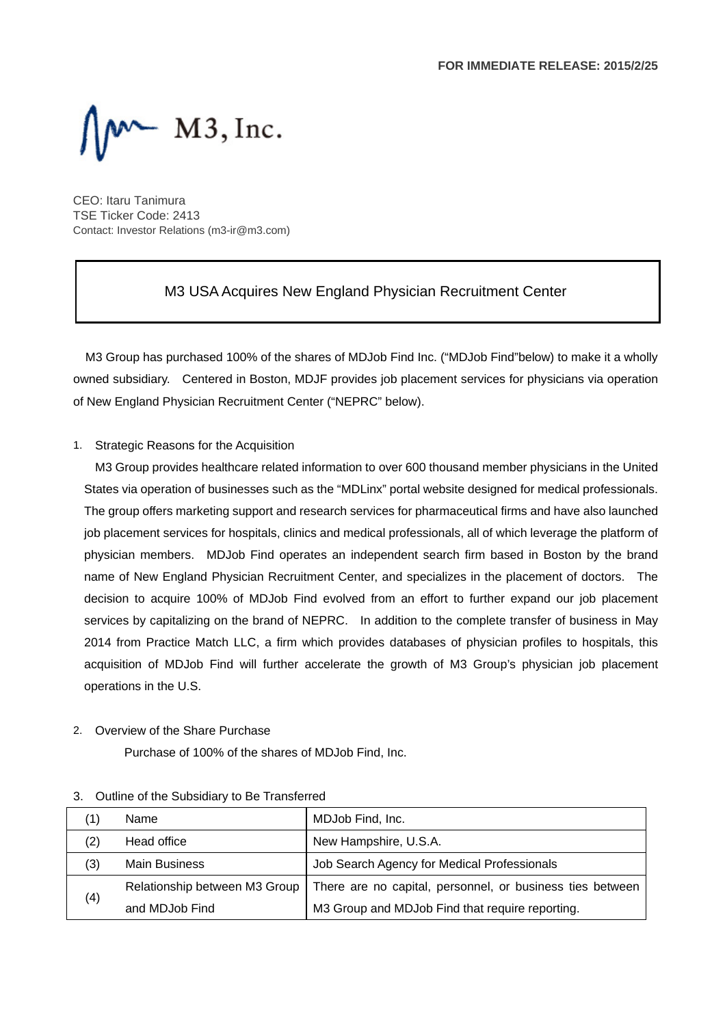

CEO: Itaru Tanimura TSE Ticker Code: 2413 Contact: Investor Relations (m3-ir@m3.com)

### M3 USA Acquires New England Physician Recruitment Center

M3 Group has purchased 100% of the shares of MDJob Find Inc. ("MDJob Find"below) to make it a wholly owned subsidiary. Centered in Boston, MDJF provides job placement services for physicians via operation of New England Physician Recruitment Center ("NEPRC" below).

#### 1. Strategic Reasons for the Acquisition

M3 Group provides healthcare related information to over 600 thousand member physicians in the United States via operation of businesses such as the "MDLinx" portal website designed for medical professionals. The group offers marketing support and research services for pharmaceutical firms and have also launched job placement services for hospitals, clinics and medical professionals, all of which leverage the platform of physician members. MDJob Find operates an independent search firm based in Boston by the brand name of New England Physician Recruitment Center, and specializes in the placement of doctors. The decision to acquire 100% of MDJob Find evolved from an effort to further expand our job placement services by capitalizing on the brand of NEPRC. In addition to the complete transfer of business in May 2014 from Practice Match LLC, a firm which provides databases of physician profiles to hospitals, this acquisition of MDJob Find will further accelerate the growth of M3 Group's physician job placement operations in the U.S.

#### 2. Overview of the Share Purchase

Purchase of 100% of the shares of MDJob Find, Inc.

| (1) |     | Name                          | MDJob Find, Inc.                                          |
|-----|-----|-------------------------------|-----------------------------------------------------------|
| (2) |     | Head office                   | New Hampshire, U.S.A.                                     |
| (3) |     | <b>Main Business</b>          | Job Search Agency for Medical Professionals               |
|     | (4) | Relationship between M3 Group | There are no capital, personnel, or business ties between |
|     |     | and MDJob Find                | M3 Group and MDJob Find that require reporting.           |

#### 3. Outline of the Subsidiary to Be Transferred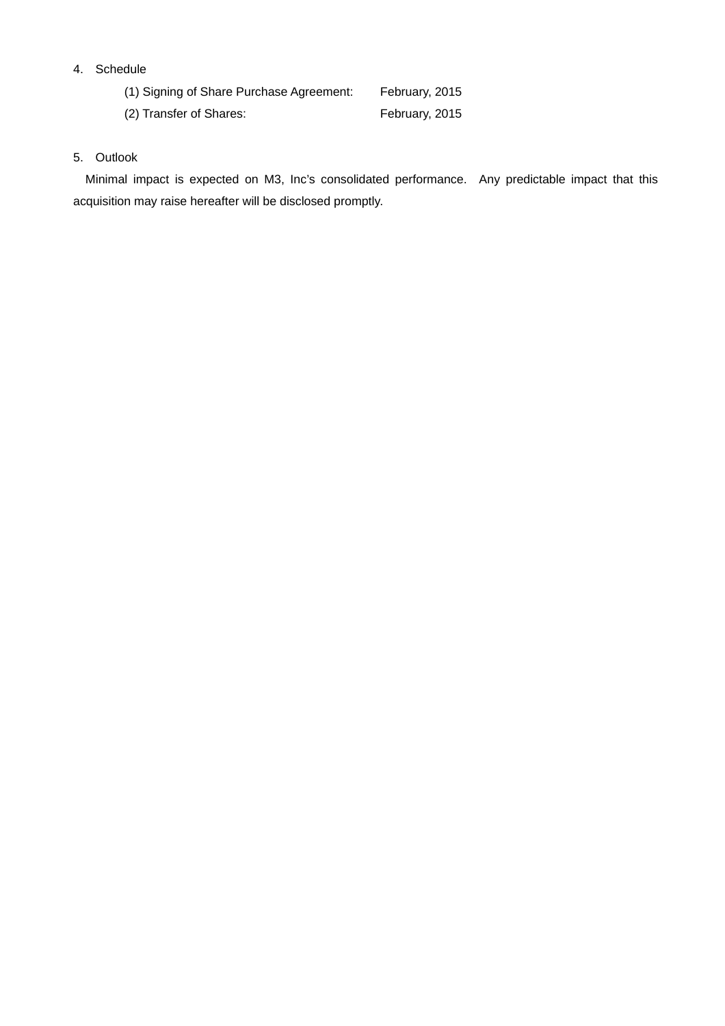### 4. Schedule

(1) Signing of Share Purchase Agreement: February, 2015

(2) Transfer of Shares: February, 2015

### 5. Outlook

Minimal impact is expected on M3, Inc's consolidated performance. Any predictable impact that this acquisition may raise hereafter will be disclosed promptly.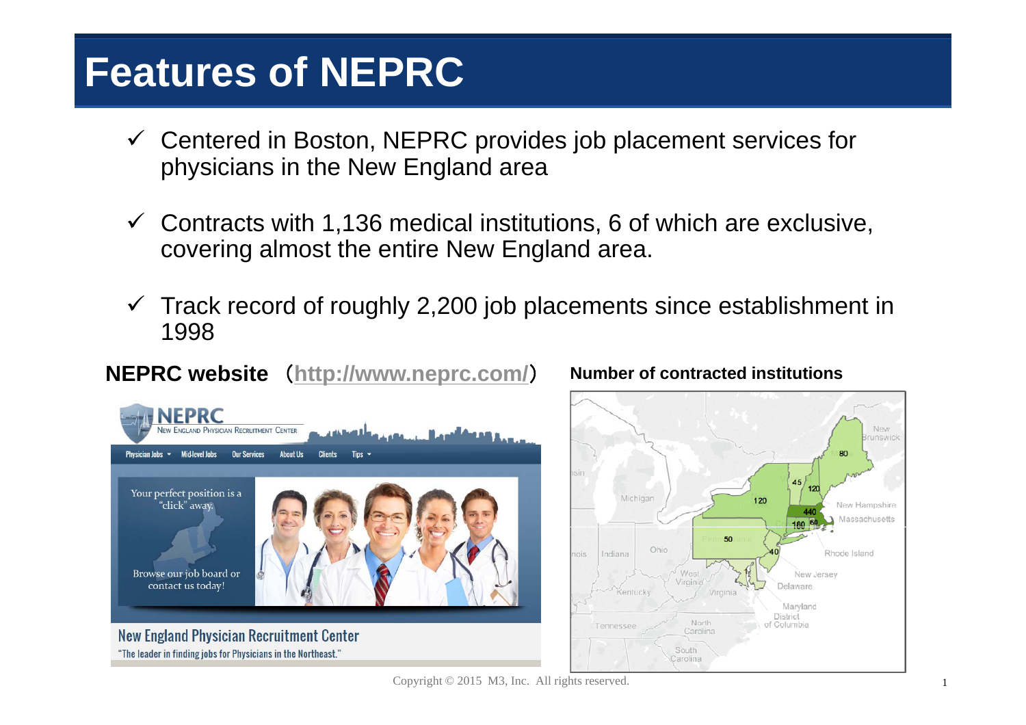# **Features of NEPRC**

- $\checkmark$  Centered in Boston, NEPRC provides job placement services for physicians in the New England area
- $\checkmark$  Contracts with 1,136 medical institutions, 6 of which are exclusive, covering almost the entire New England area.
- $\checkmark$  Track record of roughly 2,200 job placements since establishment in 1998

# **NEPRC website** (**http://www.neprc.com/**



#### New **JNSWIC** 45  $120$ Michigar 120 New Hampshire Massachusetts 180 60 50 Ohio Rhode Island nie Indiana New Jersey Delaware Virginia Marvland District North of Columbia Carolina South Carolina

## ) **Number of contracted institutions**

Copyright © 2015 M3, Inc. All rights reserved.